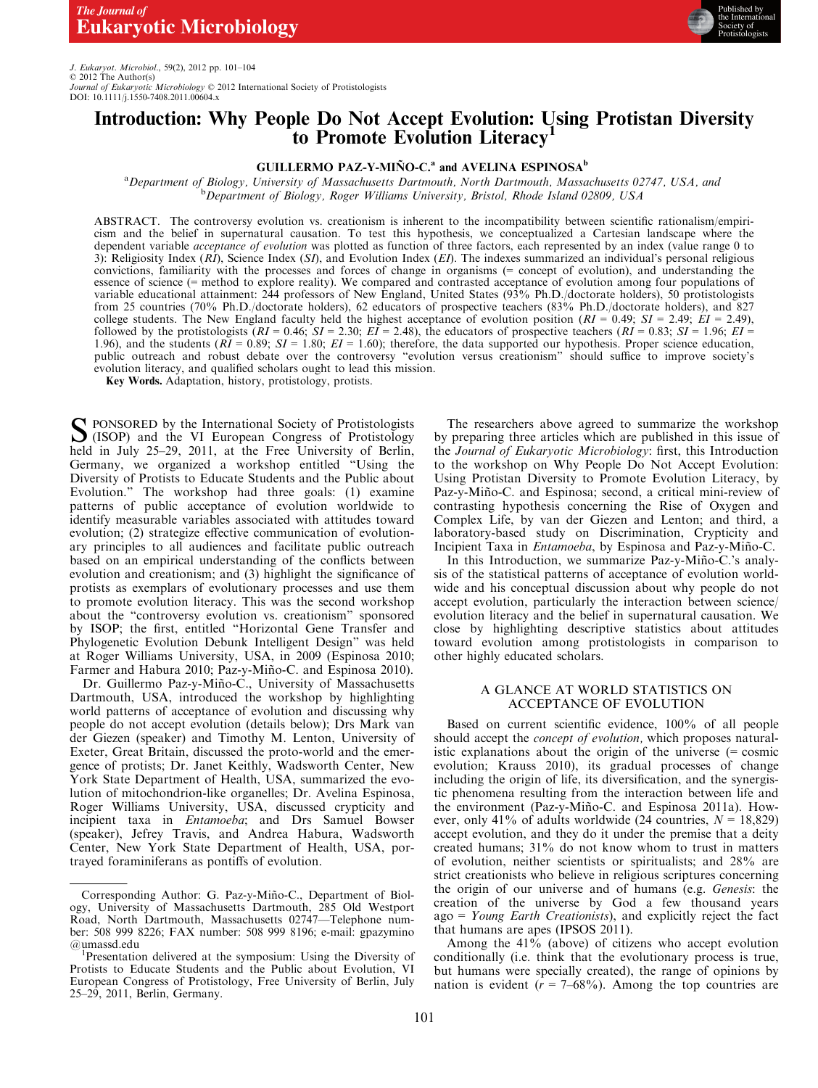

J. Eukaryot. Microbiol., 59(2), 2012 pp. 101–104 © 2012 The Author(s) Journal of Eukaryotic Microbiology © 2012 International Society of Protistologists DOI: 10.1111/j.1550-7408.2011.00604.x

# Introduction: Why People Do Not Accept Evolution: Using Protistan Diversity to Promote Evolution Literacy<sup>1</sup>

## GUILLERMO PAZ-Y-MIÑO-C.<sup>a</sup> and AVELINA ESPINOSA<sup>b</sup>

a Department of Biology, University of Massachusetts Dartmouth, North Dartmouth, Massachusetts 02747, USA, and<br>b Department of Biology, Roger Williams University, Bristol, Rhode Island 02809, USA <sup>b</sup>Department of Biology, Roger Williams University, Bristol, Rhode Island 02809, USA

ABSTRACT. The controversy evolution vs. creationism is inherent to the incompatibility between scientific rationalism/empiricism and the belief in supernatural causation. To test this hypothesis, we conceptualized a Cartesian landscape where the dependent variable *acceptance of evolution* was plotted as function of three factors, each represented by an index (value range 0 to 3): Religiosity Index ( $\overline{R}I$ ), Science Index ( $\overline{S}I$ ), and Evolution Index ( $\overline{E}I$ ). The indexes summarized an individual's personal religious convictions, familiarity with the processes and forces of change in organisms (= concept of evolution), and understanding the essence of science (= method to explore reality). We compared and contrasted acceptance of evolution among four populations of variable educational attainment: 244 professors of New England, United States (93% Ph.D./doctorate holders), 50 protistologists from 25 countries (70% Ph.D./doctorate holders), 62 educators of prospective teachers (83% Ph.D./doctorate holders), and 827 college students. The New England faculty held the highest acceptance of evolution position ( $RI = 0.49$ ;  $SI = 2.49$ ;  $EI = 2.49$ ), followed by the protistologists  $(RI = 0.46; SI = 2.30; E\overline{I} = 2.48)$ , the educators of prospective teachers  $(RI = 0.83; SI = 1.96; EI = 1.06)$ 1.96), and the students  $(R\bar{I} = 0.89; SI = 1.80; EI = 1.60)$ ; therefore, the data supported our hypothesis. Proper science education, public outreach and robust debate over the controversy "evolution versus creationism" should suffice to improve society's evolution literacy, and qualified scholars ought to lead this mission.

Key Words. Adaptation, history, protistology, protists.

S PONSORED by the International Society of Protistologists<br>(ISOP) and the VI European Congress of Protistology<br>hald in July 25.20, 2011 at the Free University of Perlin held in July 25-29, 2011, at the Free University of Berlin, Germany, we organized a workshop entitled "Using the Diversity of Protists to Educate Students and the Public about Evolution." The workshop had three goals: (1) examine patterns of public acceptance of evolution worldwide to identify measurable variables associated with attitudes toward evolution; (2) strategize effective communication of evolutionary principles to all audiences and facilitate public outreach based on an empirical understanding of the conflicts between evolution and creationism; and (3) highlight the significance of protists as exemplars of evolutionary processes and use them to promote evolution literacy. This was the second workshop about the "controversy evolution vs. creationism" sponsored by ISOP; the first, entitled "Horizontal Gene Transfer and Phylogenetic Evolution Debunk Intelligent Design" was held at Roger Williams University, USA, in 2009 (Espinosa 2010; Farmer and Habura 2010; Paz-y-Miño-C. and Espinosa 2010).

Dr. Guillermo Paz-y-Miño-C., University of Massachusetts Dartmouth, USA, introduced the workshop by highlighting world patterns of acceptance of evolution and discussing why people do not accept evolution (details below); Drs Mark van der Giezen (speaker) and Timothy M. Lenton, University of Exeter, Great Britain, discussed the proto-world and the emergence of protists; Dr. Janet Keithly, Wadsworth Center, New York State Department of Health, USA, summarized the evolution of mitochondrion-like organelles; Dr. Avelina Espinosa, Roger Williams University, USA, discussed crypticity and incipient taxa in Entamoeba; and Drs Samuel Bowser (speaker), Jefrey Travis, and Andrea Habura, Wadsworth Center, New York State Department of Health, USA, portrayed foraminiferans as pontiffs of evolution.

The researchers above agreed to summarize the workshop by preparing three articles which are published in this issue of the Journal of Eukaryotic Microbiology: first, this Introduction to the workshop on Why People Do Not Accept Evolution: Using Protistan Diversity to Promote Evolution Literacy, by Paz-y-Miño-C. and Espinosa; second, a critical mini-review of contrasting hypothesis concerning the Rise of Oxygen and Complex Life, by van der Giezen and Lenton; and third, a laboratory-based study on Discrimination, Crypticity and Incipient Taxa in *Entamoeba*, by Espinosa and Paz-y-Miño-C.

In this Introduction, we summarize Paz-y-Miño-C.'s analysis of the statistical patterns of acceptance of evolution worldwide and his conceptual discussion about why people do not accept evolution, particularly the interaction between science/ evolution literacy and the belief in supernatural causation. We close by highlighting descriptive statistics about attitudes toward evolution among protistologists in comparison to other highly educated scholars.

## A GLANCE AT WORLD STATISTICS ON ACCEPTANCE OF EVOLUTION

Based on current scientific evidence, 100% of all people should accept the *concept of evolution*, which proposes naturalistic explanations about the origin of the universe (= cosmic evolution; Krauss 2010), its gradual processes of change including the origin of life, its diversification, and the synergistic phenomena resulting from the interaction between life and the environment (Paz-y-Miño-C. and Espinosa 2011a). However, only 41% of adults worldwide (24 countries,  $N = 18,829$ ) accept evolution, and they do it under the premise that a deity created humans; 31% do not know whom to trust in matters of evolution, neither scientists or spiritualists; and 28% are strict creationists who believe in religious scriptures concerning the origin of our universe and of humans (e.g. Genesis: the creation of the universe by God a few thousand years  $ago = Young Earth Creationists)$ , and explicitly reject the fact that humans are apes (IPSOS 2011).

Among the 41% (above) of citizens who accept evolution conditionally (i.e. think that the evolutionary process is true, but humans were specially created), the range of opinions by nation is evident  $(r = 7-68\%)$ . Among the top countries are

Corresponding Author: G. Paz-y-Miño-C., Department of Biology, University of Massachusetts Dartmouth, 285 Old Westport Road, North Dartmouth, Massachusetts 02747—Telephone number: 508 999 8226; FAX number: 508 999 8196; e-mail: gpazymino @umassd.edu <sup>1</sup>

<sup>&</sup>lt;sup>1</sup>Presentation delivered at the symposium: Using the Diversity of Protists to Educate Students and the Public about Evolution, VI European Congress of Protistology, Free University of Berlin, July 25–29, 2011, Berlin, Germany.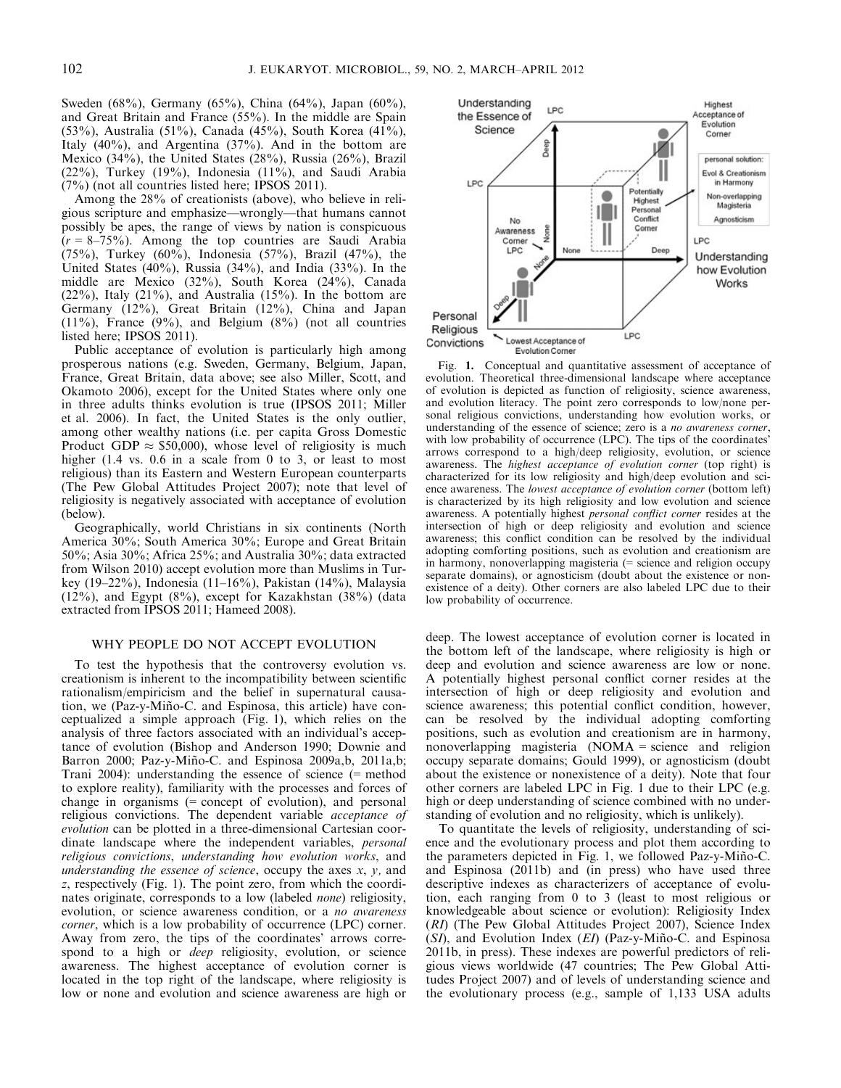Sweden (68%), Germany (65%), China (64%), Japan (60%), and Great Britain and France (55%). In the middle are Spain (53%), Australia (51%), Canada (45%), South Korea (41%), Italy (40%), and Argentina (37%). And in the bottom are Mexico (34%), the United States (28%), Russia (26%), Brazil (22%), Turkey (19%), Indonesia (11%), and Saudi Arabia (7%) (not all countries listed here; IPSOS 2011).

Among the 28% of creationists (above), who believe in religious scripture and emphasize—wrongly—that humans cannot possibly be apes, the range of views by nation is conspicuous  $(r = 8-75\%)$ . Among the top countries are Saudi Arabia (75%), Turkey (60%), Indonesia (57%), Brazil (47%), the United States (40%), Russia (34%), and India (33%). In the middle are Mexico (32%), South Korea (24%), Canada  $(22\%)$ , Italy  $(21\%)$ , and Australia  $(15\%)$ . In the bottom are Germany (12%), Great Britain (12%), China and Japan  $(11\%)$ , France  $(9\%)$ , and Belgium  $(8\%)$  (not all countries listed here; IPSOS 2011).

Public acceptance of evolution is particularly high among prosperous nations (e.g. Sweden, Germany, Belgium, Japan, France, Great Britain, data above; see also Miller, Scott, and Okamoto 2006), except for the United States where only one in three adults thinks evolution is true (IPSOS 2011; Miller et al. 2006). In fact, the United States is the only outlier, among other wealthy nations (i.e. per capita Gross Domestic Product GDP  $\approx$  \$50,000), whose level of religiosity is much higher (1.4 vs. 0.6 in a scale from 0 to 3, or least to most religious) than its Eastern and Western European counterparts (The Pew Global Attitudes Project 2007); note that level of religiosity is negatively associated with acceptance of evolution (below).

Geographically, world Christians in six continents (North America 30%; South America 30%; Europe and Great Britain 50%; Asia 30%; Africa 25%; and Australia 30%; data extracted from Wilson 2010) accept evolution more than Muslims in Turkey (19–22%), Indonesia (11–16%), Pakistan (14%), Malaysia (12%), and Egypt (8%), except for Kazakhstan (38%) (data extracted from IPSOS 2011; Hameed 2008).

## WHY PEOPLE DO NOT ACCEPT EVOLUTION

To test the hypothesis that the controversy evolution vs. creationism is inherent to the incompatibility between scientific rationalism/empiricism and the belief in supernatural causation, we (Paz-y-Miño-C. and Espinosa, this article) have conceptualized a simple approach (Fig. 1), which relies on the analysis of three factors associated with an individual's acceptance of evolution (Bishop and Anderson 1990; Downie and Barron 2000; Paz-y-Miño-C. and Espinosa 2009a,b, 2011a,b; Trani 2004): understanding the essence of science (= method to explore reality), familiarity with the processes and forces of change in organisms (= concept of evolution), and personal religious convictions. The dependent variable *acceptance of* evolution can be plotted in a three-dimensional Cartesian coordinate landscape where the independent variables, *personal* religious convictions, understanding how evolution works, and understanding the essence of science, occupy the axes  $x$ ,  $y$ , and z, respectively (Fig. 1). The point zero, from which the coordinates originate, corresponds to a low (labeled none) religiosity, evolution, or science awareness condition, or a *no awareness* corner, which is a low probability of occurrence (LPC) corner. Away from zero, the tips of the coordinates' arrows correspond to a high or *deep* religiosity, evolution, or science awareness. The highest acceptance of evolution corner is located in the top right of the landscape, where religiosity is low or none and evolution and science awareness are high or



Fig. 1. Conceptual and quantitative assessment of acceptance of evolution. Theoretical three-dimensional landscape where acceptance of evolution is depicted as function of religiosity, science awareness, and evolution literacy. The point zero corresponds to low/none personal religious convictions, understanding how evolution works, or understanding of the essence of science; zero is a no awareness corner, with low probability of occurrence (LPC). The tips of the coordinates' arrows correspond to a high/deep religiosity, evolution, or science awareness. The highest acceptance of evolution corner (top right) is characterized for its low religiosity and high/deep evolution and science awareness. The lowest acceptance of evolution corner (bottom left) is characterized by its high religiosity and low evolution and science awareness. A potentially highest personal conflict corner resides at the intersection of high or deep religiosity and evolution and science awareness; this conflict condition can be resolved by the individual adopting comforting positions, such as evolution and creationism are in harmony, nonoverlapping magisteria (= science and religion occupy separate domains), or agnosticism (doubt about the existence or nonexistence of a deity). Other corners are also labeled LPC due to their low probability of occurrence.

deep. The lowest acceptance of evolution corner is located in the bottom left of the landscape, where religiosity is high or deep and evolution and science awareness are low or none. A potentially highest personal conflict corner resides at the intersection of high or deep religiosity and evolution and science awareness; this potential conflict condition, however, can be resolved by the individual adopting comforting positions, such as evolution and creationism are in harmony, nonoverlapping magisteria (NOMA = science and religion occupy separate domains; Gould 1999), or agnosticism (doubt about the existence or nonexistence of a deity). Note that four other corners are labeled LPC in Fig. 1 due to their LPC (e.g. high or deep understanding of science combined with no understanding of evolution and no religiosity, which is unlikely).

To quantitate the levels of religiosity, understanding of science and the evolutionary process and plot them according to the parameters depicted in Fig. 1, we followed Paz-y-Miño-C. and Espinosa (2011b) and (in press) who have used three descriptive indexes as characterizers of acceptance of evolution, each ranging from 0 to 3 (least to most religious or knowledgeable about science or evolution): Religiosity Index (RI) (The Pew Global Attitudes Project 2007), Science Index  $(SI)$ , and Evolution Index  $(EI)$  (Paz-y-Miño-C. and Espinosa 2011b, in press). These indexes are powerful predictors of religious views worldwide (47 countries; The Pew Global Attitudes Project 2007) and of levels of understanding science and the evolutionary process (e.g., sample of 1,133 USA adults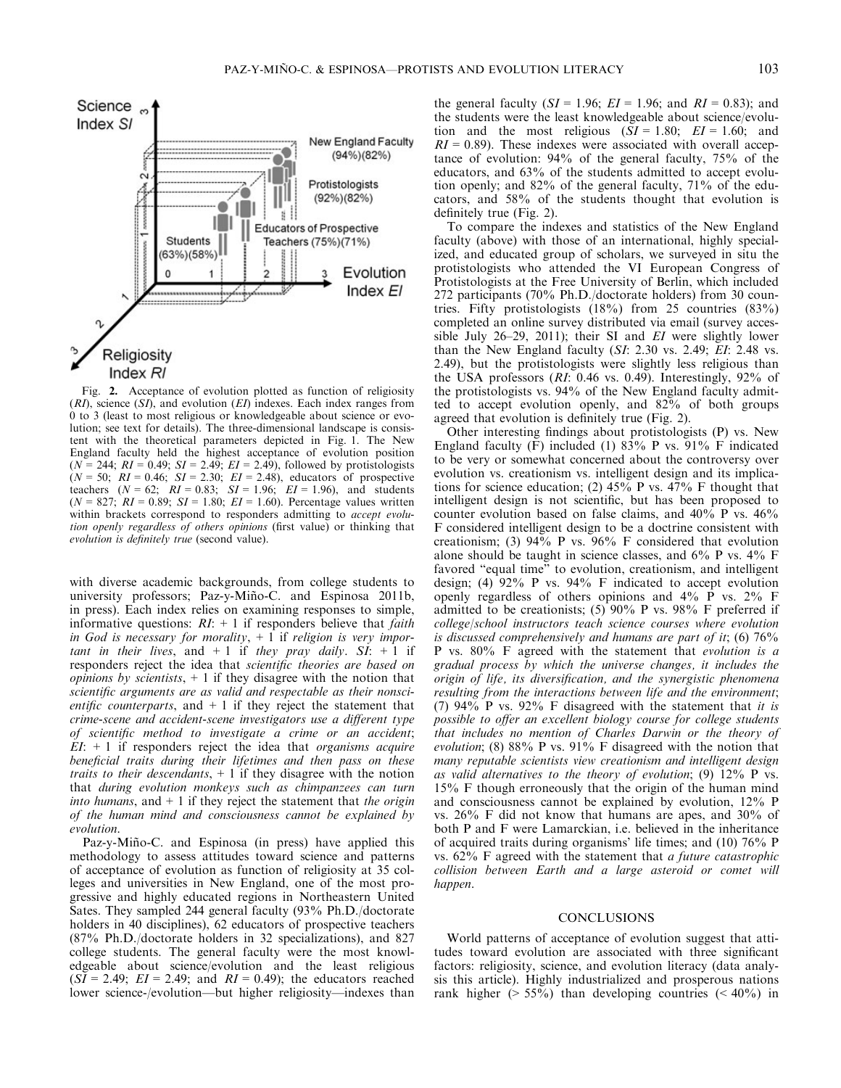

Fig. 2. Acceptance of evolution plotted as function of religiosity  $(RI)$ , science  $(SI)$ , and evolution  $(EI)$  indexes. Each index ranges from 0 to 3 (least to most religious or knowledgeable about science or evolution; see text for details). The three-dimensional landscape is consistent with the theoretical parameters depicted in Fig. 1. The New England faculty held the highest acceptance of evolution position  $(N = 244; RI = 0.49; SI = 2.49; EI = 2.49)$ , followed by protistologists  $(N = 50; RI = 0.46; SI = 2.30; EI = 2.48)$ , educators of prospective teachers  $(N = 62$ ;  $RI = 0.83$ ;  $SI = 1.96$ ;  $EI = 1.96$ ), and students  $(N = 827; RI = 0.89; SI = 1.80; EI = 1.60)$ . Percentage values written within brackets correspond to responders admitting to accept evolution openly regardless of others opinions (first value) or thinking that evolution is definitely true (second value).

with diverse academic backgrounds, from college students to university professors; Paz-y-Miño-C. and Espinosa 2011b, in press). Each index relies on examining responses to simple, informative questions:  $RI: + 1$  if responders believe that *faith* in God is necessary for morality,  $+1$  if religion is very important in their lives, and  $+1$  if they pray daily. SI:  $+1$  if responders reject the idea that scientific theories are based on *opinions by scientists*,  $+1$  if they disagree with the notion that scientific arguments are as valid and respectable as their nonscientific counterparts, and  $+1$  if they reject the statement that crime-scene and accident-scene investigators use a different type of scientific method to investigate a crime or an accident;  $EI: + 1$  if responders reject the idea that *organisms acquire* beneficial traits during their lifetimes and then pass on these traits to their descendants,  $+1$  if they disagree with the notion that during evolution monkeys such as chimpanzees can turn *into humans*, and  $+1$  if they reject the statement that the origin of the human mind and consciousness cannot be explained by evolution.

Paz-y-Miño-C. and Espinosa (in press) have applied this methodology to assess attitudes toward science and patterns of acceptance of evolution as function of religiosity at 35 colleges and universities in New England, one of the most progressive and highly educated regions in Northeastern United Sates. They sampled 244 general faculty (93% Ph.D./doctorate holders in 40 disciplines), 62 educators of prospective teachers (87% Ph.D./doctorate holders in 32 specializations), and 827 college students. The general faculty were the most knowledgeable about science/evolution and the least religious  $(SI = 2.49; EI = 2.49; and RI = 0.49)$ ; the educators reached lower science-/evolution—but higher religiosity—indexes than

the general faculty ( $SI = 1.96$ ;  $EI = 1.96$ ; and  $RI = 0.83$ ); and the students were the least knowledgeable about science/evolution and the most religious  $(SI = 1.80; EI = 1.60; and)$  $RI = 0.89$ ). These indexes were associated with overall acceptance of evolution: 94% of the general faculty, 75% of the educators, and 63% of the students admitted to accept evolution openly; and 82% of the general faculty, 71% of the educators, and 58% of the students thought that evolution is definitely true (Fig. 2).

To compare the indexes and statistics of the New England faculty (above) with those of an international, highly specialized, and educated group of scholars, we surveyed in situ the protistologists who attended the VI European Congress of Protistologists at the Free University of Berlin, which included 272 participants (70% Ph.D./doctorate holders) from 30 countries. Fifty protistologists (18%) from 25 countries (83%) completed an online survey distributed via email (survey accessible July 26–29, 2011); their SI and EI were slightly lower than the New England faculty  $(SI: 2.30 \text{ vs. } 2.49; EI: 2.48 \text{ vs. } 2.49)$ 2.49), but the protistologists were slightly less religious than the USA professors (RI: 0.46 vs. 0.49). Interestingly, 92% of the protistologists vs. 94% of the New England faculty admitted to accept evolution openly, and 82% of both groups agreed that evolution is definitely true (Fig. 2).

Other interesting findings about protistologists (P) vs. New England faculty  $(F)$  included  $(1)$  83% P vs. 91% F indicated to be very or somewhat concerned about the controversy over evolution vs. creationism vs. intelligent design and its implications for science education; (2) 45% P vs. 47% F thought that intelligent design is not scientific, but has been proposed to counter evolution based on false claims, and 40% P vs. 46% F considered intelligent design to be a doctrine consistent with creationism; (3) 94% P vs. 96% F considered that evolution alone should be taught in science classes, and 6% P vs. 4% F favored "equal time" to evolution, creationism, and intelligent design; (4)  $92\%$  P vs.  $94\%$  F indicated to accept evolution openly regardless of others opinions and  $4\%$  P vs.  $2\%$  F admitted to be creationists; (5) 90% P vs. 98% F preferred if college/school instructors teach science courses where evolution is discussed comprehensively and humans are part of it;  $(6)$  76% P vs. 80% F agreed with the statement that evolution is a gradual process by which the universe changes, it includes the origin of life, its diversification, and the synergistic phenomena resulting from the interactions between life and the environment; (7)  $94\%$  P vs.  $92\%$  F disagreed with the statement that it is possible to offer an excellent biology course for college students that includes no mention of Charles Darwin or the theory of evolution; (8) 88% P vs.  $91\%$  F disagreed with the notion that many reputable scientists view creationism and intelligent design as valid alternatives to the theory of evolution; (9)  $12\%$  P vs. 15% F though erroneously that the origin of the human mind and consciousness cannot be explained by evolution, 12% P vs. 26% F did not know that humans are apes, and 30% of both P and F were Lamarckian, i.e. believed in the inheritance of acquired traits during organisms' life times; and (10) 76% P vs.  $62\%$  F agreed with the statement that *a future catastrophic* collision between Earth and a large asteroid or comet will happen.

#### **CONCLUSIONS**

World patterns of acceptance of evolution suggest that attitudes toward evolution are associated with three significant factors: religiosity, science, and evolution literacy (data analysis this article). Highly industrialized and prosperous nations rank higher ( $> 55\%$ ) than developing countries ( $< 40\%$ ) in